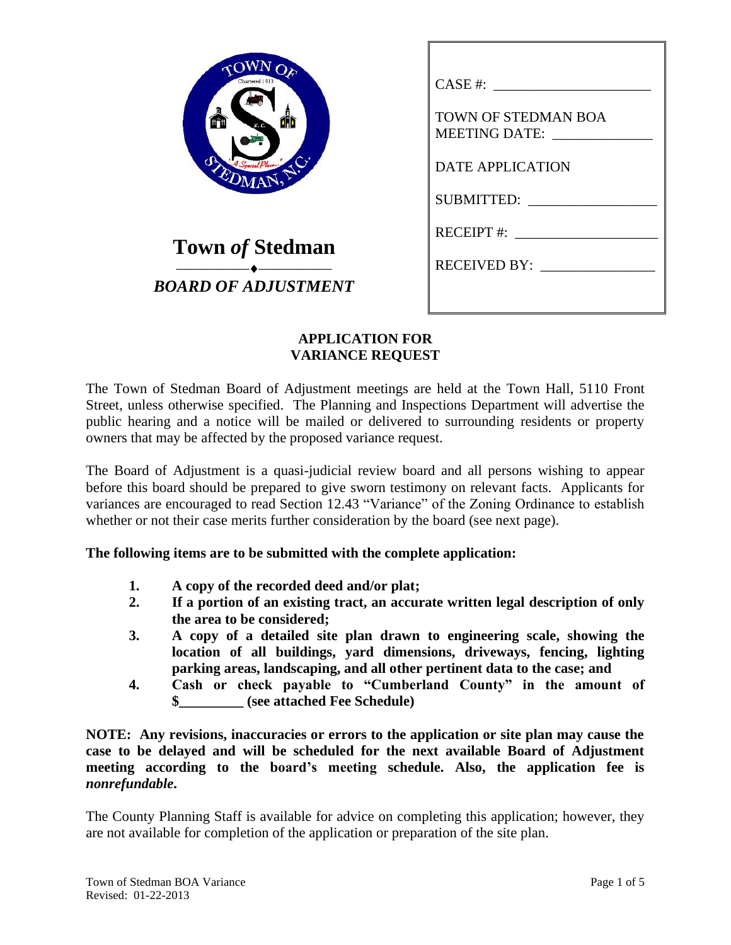| WNOF<br>Chartered 1913<br>Ē<br>N. C.<br>EDMAN, |  |
|------------------------------------------------|--|
| ٠<br>∽                                         |  |

**Town** *of* **Stedman** ⎯⎯⎯⎯⎯⎯⎯⎯⎯⎯ *BOARD OF ADJUSTMENT*

| CASE #:                                            |
|----------------------------------------------------|
| <b>TOWN OF STEDMAN BOA</b><br><b>MEETING DATE:</b> |
| <b>DATE APPLICATION</b>                            |
| SUBMITTED:                                         |
| <b>RECEIPT#:</b>                                   |
| RECEIVED BY:                                       |
|                                                    |

## **APPLICATION FOR VARIANCE REQUEST**

The Town of Stedman Board of Adjustment meetings are held at the Town Hall, 5110 Front Street, unless otherwise specified. The Planning and Inspections Department will advertise the public hearing and a notice will be mailed or delivered to surrounding residents or property owners that may be affected by the proposed variance request.

The Board of Adjustment is a quasi-judicial review board and all persons wishing to appear before this board should be prepared to give sworn testimony on relevant facts. Applicants for variances are encouraged to read Section 12.43 "Variance" of the Zoning Ordinance to establish whether or not their case merits further consideration by the board (see next page).

**The following items are to be submitted with the complete application:**

- **1. A copy of the recorded deed and/or plat;**
- **2. If a portion of an existing tract, an accurate written legal description of only the area to be considered;**
- **3. A copy of a detailed site plan drawn to engineering scale, showing the location of all buildings, yard dimensions, driveways, fencing, lighting parking areas, landscaping, and all other pertinent data to the case; and**
- **4. Cash or check payable to "Cumberland County" in the amount of \$\_\_\_\_\_\_\_\_\_ (see attached Fee Schedule)**

**NOTE: Any revisions, inaccuracies or errors to the application or site plan may cause the case to be delayed and will be scheduled for the next available Board of Adjustment meeting according to the board's meeting schedule. Also, the application fee is**  *nonrefundable***.**

The County Planning Staff is available for advice on completing this application; however, they are not available for completion of the application or preparation of the site plan.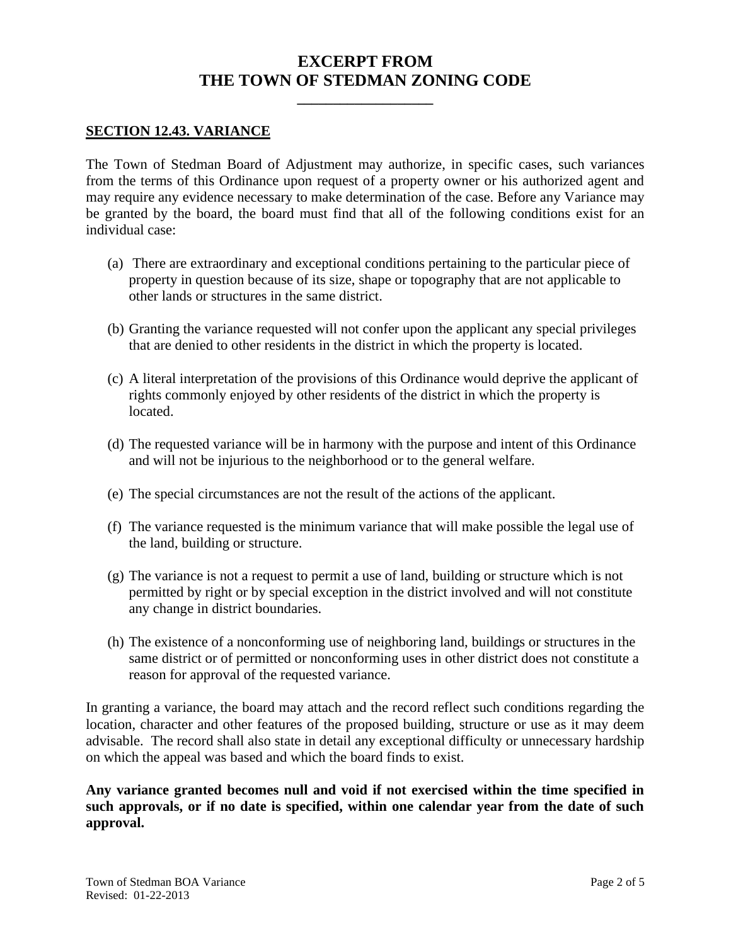## **EXCERPT FROM THE TOWN OF STEDMAN ZONING CODE**

**\_\_\_\_\_\_\_\_\_\_\_\_\_\_\_\_\_\_\_**

### **SECTION 12.43. VARIANCE**

The Town of Stedman Board of Adjustment may authorize, in specific cases, such variances from the terms of this Ordinance upon request of a property owner or his authorized agent and may require any evidence necessary to make determination of the case. Before any Variance may be granted by the board, the board must find that all of the following conditions exist for an individual case:

- (a) There are extraordinary and exceptional conditions pertaining to the particular piece of property in question because of its size, shape or topography that are not applicable to other lands or structures in the same district.
- (b) Granting the variance requested will not confer upon the applicant any special privileges that are denied to other residents in the district in which the property is located.
- (c) A literal interpretation of the provisions of this Ordinance would deprive the applicant of rights commonly enjoyed by other residents of the district in which the property is located.
- (d) The requested variance will be in harmony with the purpose and intent of this Ordinance and will not be injurious to the neighborhood or to the general welfare.
- (e) The special circumstances are not the result of the actions of the applicant.
- (f) The variance requested is the minimum variance that will make possible the legal use of the land, building or structure.
- (g) The variance is not a request to permit a use of land, building or structure which is not permitted by right or by special exception in the district involved and will not constitute any change in district boundaries.
- (h) The existence of a nonconforming use of neighboring land, buildings or structures in the same district or of permitted or nonconforming uses in other district does not constitute a reason for approval of the requested variance.

In granting a variance, the board may attach and the record reflect such conditions regarding the location, character and other features of the proposed building, structure or use as it may deem advisable. The record shall also state in detail any exceptional difficulty or unnecessary hardship on which the appeal was based and which the board finds to exist.

**Any variance granted becomes null and void if not exercised within the time specified in such approvals, or if no date is specified, within one calendar year from the date of such approval.**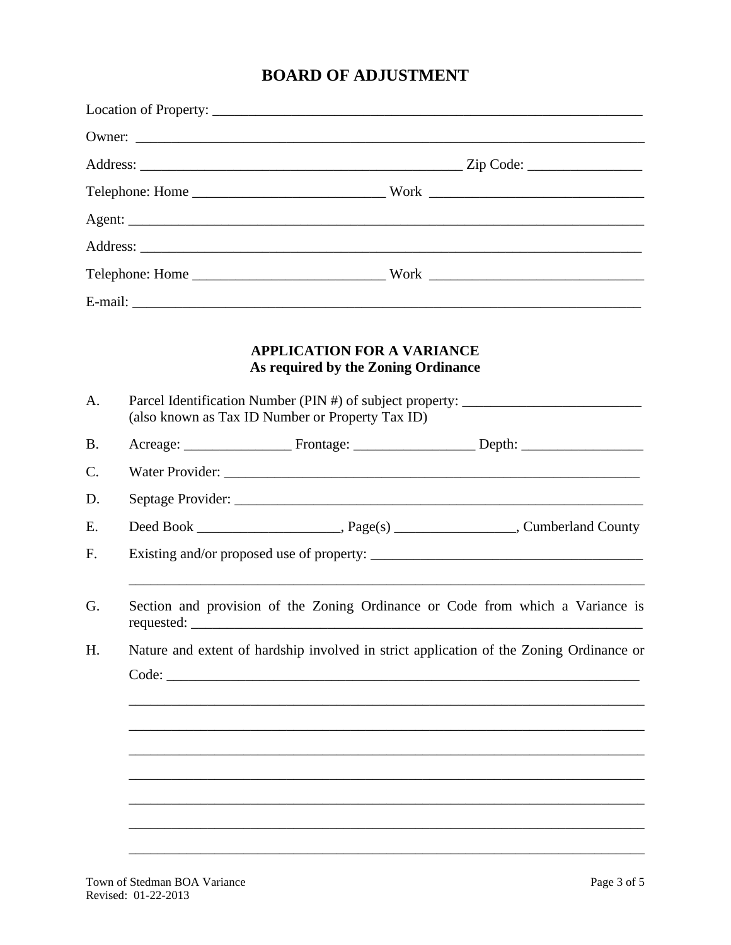# **BOARD OF ADJUSTMENT**

| Parcel Identification Number (PIN #) of subject property:                               |
|-----------------------------------------------------------------------------------------|
|                                                                                         |
|                                                                                         |
|                                                                                         |
|                                                                                         |
|                                                                                         |
| Section and provision of the Zoning Ordinance or Code from which a Variance is          |
| Nature and extent of hardship involved in strict application of the Zoning Ordinance or |
|                                                                                         |
|                                                                                         |
|                                                                                         |
|                                                                                         |
|                                                                                         |
|                                                                                         |
|                                                                                         |
|                                                                                         |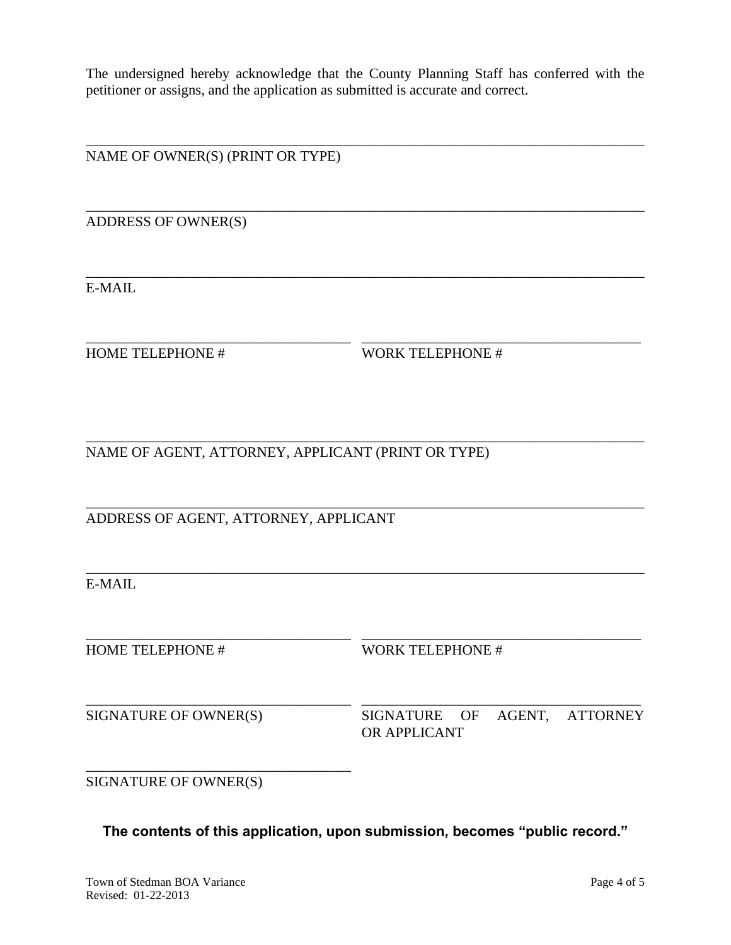The undersigned hereby acknowledge that the County Planning Staff has conferred with the petitioner or assigns, and the application as submitted is accurate and correct.

\_\_\_\_\_\_\_\_\_\_\_\_\_\_\_\_\_\_\_\_\_\_\_\_\_\_\_\_\_\_\_\_\_\_\_\_\_\_\_\_\_\_\_\_\_\_\_\_\_\_\_\_\_\_\_\_\_\_\_\_\_\_\_\_\_\_\_\_\_\_\_\_\_\_\_\_\_\_

\_\_\_\_\_\_\_\_\_\_\_\_\_\_\_\_\_\_\_\_\_\_\_\_\_\_\_\_\_\_\_\_\_\_\_\_\_\_\_\_\_\_\_\_\_\_\_\_\_\_\_\_\_\_\_\_\_\_\_\_\_\_\_\_\_\_\_\_\_\_\_\_\_\_\_\_\_\_

\_\_\_\_\_\_\_\_\_\_\_\_\_\_\_\_\_\_\_\_\_\_\_\_\_\_\_\_\_\_\_\_\_\_\_\_\_\_\_\_\_\_\_\_\_\_\_\_\_\_\_\_\_\_\_\_\_\_\_\_\_\_\_\_\_\_\_\_\_\_\_\_\_\_\_\_\_\_

\_\_\_\_\_\_\_\_\_\_\_\_\_\_\_\_\_\_\_\_\_\_\_\_\_\_\_\_\_\_\_\_\_\_\_\_\_ \_\_\_\_\_\_\_\_\_\_\_\_\_\_\_\_\_\_\_\_\_\_\_\_\_\_\_\_\_\_\_\_\_\_\_\_\_\_\_

\_\_\_\_\_\_\_\_\_\_\_\_\_\_\_\_\_\_\_\_\_\_\_\_\_\_\_\_\_\_\_\_\_\_\_\_\_\_\_\_\_\_\_\_\_\_\_\_\_\_\_\_\_\_\_\_\_\_\_\_\_\_\_\_\_\_\_\_\_\_\_\_\_\_\_\_\_\_

\_\_\_\_\_\_\_\_\_\_\_\_\_\_\_\_\_\_\_\_\_\_\_\_\_\_\_\_\_\_\_\_\_\_\_\_\_\_\_\_\_\_\_\_\_\_\_\_\_\_\_\_\_\_\_\_\_\_\_\_\_\_\_\_\_\_\_\_\_\_\_\_\_\_\_\_\_\_

\_\_\_\_\_\_\_\_\_\_\_\_\_\_\_\_\_\_\_\_\_\_\_\_\_\_\_\_\_\_\_\_\_\_\_\_\_\_\_\_\_\_\_\_\_\_\_\_\_\_\_\_\_\_\_\_\_\_\_\_\_\_\_\_\_\_\_\_\_\_\_\_\_\_\_\_\_\_

NAME OF OWNER(S) (PRINT OR TYPE)

ADDRESS OF OWNER(S)

E-MAIL

HOME TELEPHONE # WORK TELEPHONE #

NAME OF AGENT, ATTORNEY, APPLICANT (PRINT OR TYPE)

ADDRESS OF AGENT, ATTORNEY, APPLICANT

E-MAIL

\_\_\_\_\_\_\_\_\_\_\_\_\_\_\_\_\_\_\_\_\_\_\_\_\_\_\_\_\_\_\_\_\_\_\_\_\_ \_\_\_\_\_\_\_\_\_\_\_\_\_\_\_\_\_\_\_\_\_\_\_\_\_\_\_\_\_\_\_\_\_\_\_\_\_\_\_ HOME TELEPHONE # WORK TELEPHONE # \_\_\_\_\_\_\_\_\_\_\_\_\_\_\_\_\_\_\_\_\_\_\_\_\_\_\_\_\_\_\_\_\_\_\_\_\_ \_\_\_\_\_\_\_\_\_\_\_\_\_\_\_\_\_\_\_\_\_\_\_\_\_\_\_\_\_\_\_\_\_\_\_\_\_\_\_ SIGNATURE OF OWNER(S) SIGNATURE OF AGENT, ATTORNEY OR APPLICANT \_\_\_\_\_\_\_\_\_\_\_\_\_\_\_\_\_\_\_\_\_\_\_\_\_\_\_\_\_\_\_\_\_\_\_\_\_ SIGNATURE OF OWNER(S)

**The contents of this application, upon submission, becomes "public record."**